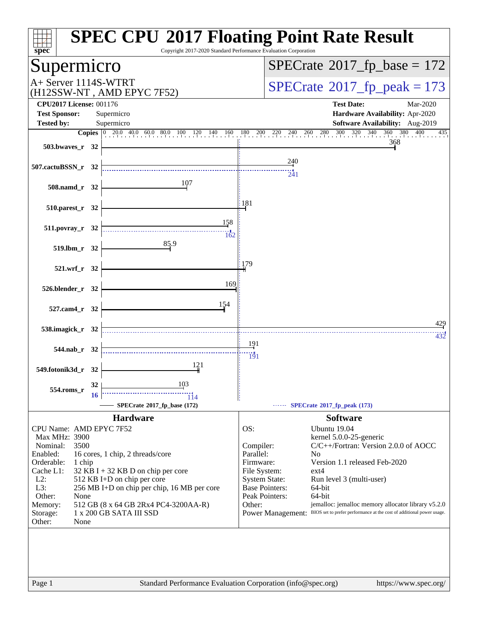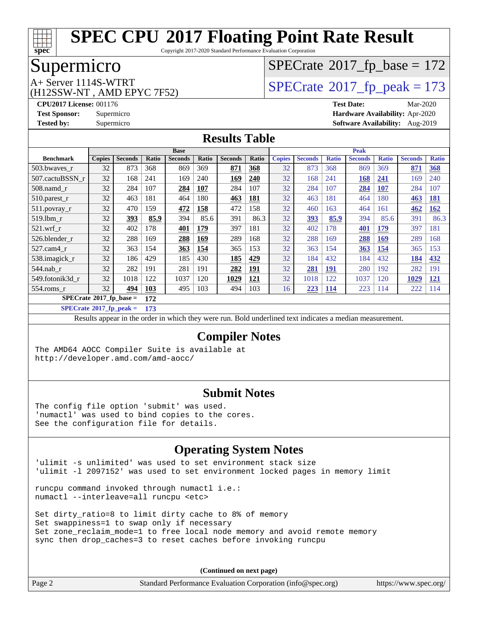

Copyright 2017-2020 Standard Performance Evaluation Corporation

# Supermicro

# $SPECTate$ <sup>®</sup>[2017\\_fp\\_base =](http://www.spec.org/auto/cpu2017/Docs/result-fields.html#SPECrate2017fpbase) 172

(H12SSW-NT , AMD EPYC 7F52)

A+ Server 1114S-WTRT<br>
(H12SSW-NT AMD EPYC 7F52) [SPECrate](http://www.spec.org/auto/cpu2017/Docs/result-fields.html#SPECrate2017fppeak)®[2017\\_fp\\_peak = 1](http://www.spec.org/auto/cpu2017/Docs/result-fields.html#SPECrate2017fppeak)73

**[CPU2017 License:](http://www.spec.org/auto/cpu2017/Docs/result-fields.html#CPU2017License)** 001176 **[Test Date:](http://www.spec.org/auto/cpu2017/Docs/result-fields.html#TestDate)** Mar-2020 **[Test Sponsor:](http://www.spec.org/auto/cpu2017/Docs/result-fields.html#TestSponsor)** Supermicro **[Hardware Availability:](http://www.spec.org/auto/cpu2017/Docs/result-fields.html#HardwareAvailability)** Apr-2020 **[Tested by:](http://www.spec.org/auto/cpu2017/Docs/result-fields.html#Testedby)** Supermicro **[Software Availability:](http://www.spec.org/auto/cpu2017/Docs/result-fields.html#SoftwareAvailability)** Aug-2019

### **[Results Table](http://www.spec.org/auto/cpu2017/Docs/result-fields.html#ResultsTable)**

|                            | <b>Base</b>   |                |       |                |              | <b>Peak</b>    |            |               |                |              |                |              |                |              |
|----------------------------|---------------|----------------|-------|----------------|--------------|----------------|------------|---------------|----------------|--------------|----------------|--------------|----------------|--------------|
| <b>Benchmark</b>           | <b>Copies</b> | <b>Seconds</b> | Ratio | <b>Seconds</b> | <b>Ratio</b> | <b>Seconds</b> | Ratio      | <b>Copies</b> | <b>Seconds</b> | <b>Ratio</b> | <b>Seconds</b> | <b>Ratio</b> | <b>Seconds</b> | <b>Ratio</b> |
| 503.bwayes_r               | 32            | 873            | 368   | 869            | 369          | 871            | 368        | 32            | 873            | 368          | 869            | 369          | 871            | 368          |
| 507.cactuBSSN r            | 32            | 168            | 241   | 169            | 240          | 169            | 240        | 32            | 168            | 241          | 168            | 241          | 169            | 240          |
| $508$ .namd $r$            | 32            | 284            | 107   | 284            | <b>107</b>   | 284            | 107        | 32            | 284            | 107          | 284            | 107          | 284            | 107          |
| 510.parest_r               | 32            | 463            | 181   | 464            | 180          | 463            | 181        | 32            | 463            | 181          | 464            | 180          | 463            | <u>181</u>   |
| 511.povray_r               | 32            | 470            | 159   | 472            | 158          | 472            | 158        | 32            | 460            | 163          | 464            | 161          | 462            | <u>162</u>   |
| 519.lbm r                  | 32            | 393            | 85.9  | 394            | 85.6         | 391            | 86.3       | 32            | 393            | 85.9         | 394            | 85.6         | 391            | 86.3         |
| $521$ .wrf r               | 32            | 402            | 178   | 401            | 179          | 397            | 181        | 32            | 402            | 178          | 401            | <b>179</b>   | 397            | 181          |
| 526.blender r              | 32            | 288            | 169   | 288            | <u>169</u>   | 289            | 168        | 32            | 288            | 169          | 288            | 169          | 289            | 168          |
| 527.cam4_r                 | 32            | 363            | 154   | <u>363</u>     | 154          | 365            | 153        | 32            | 363            | 154          | <b>363</b>     | 154          | 365            | 153          |
| 538.imagick_r              | 32            | 186            | 429   | 185            | 430          | 185            | 429        | 32            | 184            | 432          | 184            | 432          | 184            | 432          |
| 544.nab r                  | 32            | 282            | 191   | 281            | 191          | 282            | 191        | 32            | 281            | <b>191</b>   | 280            | 192          | 282            | 191          |
| 549.fotonik3d r            | 32            | 1018           | 122   | 1037           | 120          | 1029           | <u>121</u> | 32            | 1018           | 122          | 1037           | 120          | 1029           | <u>121</u>   |
| $554$ .roms r              | 32            | 494            | 103   | 495            | 103          | 494            | 103        | 16            | 223            | <b>114</b>   | 223            | 114          | 222            | 114          |
| $SPECrate*2017_fp\_base =$ |               |                | 172   |                |              |                |            |               |                |              |                |              |                |              |

**[SPECrate](http://www.spec.org/auto/cpu2017/Docs/result-fields.html#SPECrate2017fppeak)[2017\\_fp\\_peak =](http://www.spec.org/auto/cpu2017/Docs/result-fields.html#SPECrate2017fppeak) 173**

Results appear in the [order in which they were run.](http://www.spec.org/auto/cpu2017/Docs/result-fields.html#RunOrder) Bold underlined text [indicates a median measurement.](http://www.spec.org/auto/cpu2017/Docs/result-fields.html#Median)

#### **[Compiler Notes](http://www.spec.org/auto/cpu2017/Docs/result-fields.html#CompilerNotes)**

The AMD64 AOCC Compiler Suite is available at <http://developer.amd.com/amd-aocc/>

#### **[Submit Notes](http://www.spec.org/auto/cpu2017/Docs/result-fields.html#SubmitNotes)**

The config file option 'submit' was used. 'numactl' was used to bind copies to the cores. See the configuration file for details.

### **[Operating System Notes](http://www.spec.org/auto/cpu2017/Docs/result-fields.html#OperatingSystemNotes)**

'ulimit -s unlimited' was used to set environment stack size 'ulimit -l 2097152' was used to set environment locked pages in memory limit

runcpu command invoked through numactl i.e.: numactl --interleave=all runcpu <etc>

Set dirty\_ratio=8 to limit dirty cache to 8% of memory Set swappiness=1 to swap only if necessary Set zone\_reclaim\_mode=1 to free local node memory and avoid remote memory sync then drop\_caches=3 to reset caches before invoking runcpu

| Page 2 | Standard Performance Evaluation Corporation (info@spec.org) | https://www.spec.org/ $\vert$ |
|--------|-------------------------------------------------------------|-------------------------------|
|--------|-------------------------------------------------------------|-------------------------------|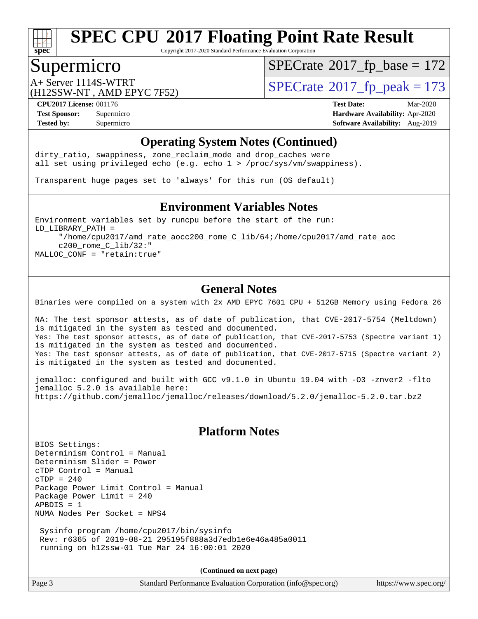

Copyright 2017-2020 Standard Performance Evaluation Corporation

### Supermicro

 $SPECTate$ <sup>®</sup>[2017\\_fp\\_base =](http://www.spec.org/auto/cpu2017/Docs/result-fields.html#SPECrate2017fpbase) 172

(H12SSW-NT , AMD EPYC 7F52)

A+ Server 1114S-WTRT  $\begin{array}{c|c}\n\text{A+ Server 1114S-WTRT} & \text{SPECrate} \n\hline\n\text{B+ Server 2017-fp_peak} & = 173\n\end{array}$  $\begin{array}{c|c}\n\text{A+ Server 1114S-WTRT} & \text{SPECrate} \n\hline\n\text{B+ Server 2017-fp_peak} & = 173\n\end{array}$  $\begin{array}{c|c}\n\text{A+ Server 1114S-WTRT} & \text{SPECrate} \n\hline\n\text{B+ Server 2017-fp_peak} & = 173\n\end{array}$ 

**[CPU2017 License:](http://www.spec.org/auto/cpu2017/Docs/result-fields.html#CPU2017License)** 001176 **[Test Date:](http://www.spec.org/auto/cpu2017/Docs/result-fields.html#TestDate)** Mar-2020 **[Test Sponsor:](http://www.spec.org/auto/cpu2017/Docs/result-fields.html#TestSponsor)** Supermicro **[Hardware Availability:](http://www.spec.org/auto/cpu2017/Docs/result-fields.html#HardwareAvailability)** Apr-2020 **[Tested by:](http://www.spec.org/auto/cpu2017/Docs/result-fields.html#Testedby)** Supermicro **Supermicro [Software Availability:](http://www.spec.org/auto/cpu2017/Docs/result-fields.html#SoftwareAvailability)** Aug-2019

#### **[Operating System Notes \(Continued\)](http://www.spec.org/auto/cpu2017/Docs/result-fields.html#OperatingSystemNotes)**

dirty\_ratio, swappiness, zone\_reclaim\_mode and drop caches were all set using privileged echo (e.g. echo 1 > /proc/sys/vm/swappiness).

Transparent huge pages set to 'always' for this run (OS default)

#### **[Environment Variables Notes](http://www.spec.org/auto/cpu2017/Docs/result-fields.html#EnvironmentVariablesNotes)**

Environment variables set by runcpu before the start of the run: LD\_LIBRARY\_PATH = "/home/cpu2017/amd\_rate\_aocc200\_rome\_C\_lib/64;/home/cpu2017/amd\_rate\_aoc c200\_rome\_C\_lib/32:" MALLOC\_CONF = "retain:true"

#### **[General Notes](http://www.spec.org/auto/cpu2017/Docs/result-fields.html#GeneralNotes)**

Binaries were compiled on a system with 2x AMD EPYC 7601 CPU + 512GB Memory using Fedora 26

NA: The test sponsor attests, as of date of publication, that CVE-2017-5754 (Meltdown) is mitigated in the system as tested and documented. Yes: The test sponsor attests, as of date of publication, that CVE-2017-5753 (Spectre variant 1) is mitigated in the system as tested and documented. Yes: The test sponsor attests, as of date of publication, that CVE-2017-5715 (Spectre variant 2) is mitigated in the system as tested and documented.

jemalloc: configured and built with GCC v9.1.0 in Ubuntu 19.04 with -O3 -znver2 -flto jemalloc 5.2.0 is available here: <https://github.com/jemalloc/jemalloc/releases/download/5.2.0/jemalloc-5.2.0.tar.bz2>

### **[Platform Notes](http://www.spec.org/auto/cpu2017/Docs/result-fields.html#PlatformNotes)**

BIOS Settings: Determinism Control = Manual Determinism Slider = Power cTDP Control = Manual  $CTDP = 240$ Package Power Limit Control = Manual Package Power Limit = 240 APBDIS = 1 NUMA Nodes Per Socket = NPS4

 Sysinfo program /home/cpu2017/bin/sysinfo Rev: r6365 of 2019-08-21 295195f888a3d7edb1e6e46a485a0011 running on h12ssw-01 Tue Mar 24 16:00:01 2020

**(Continued on next page)**

Page 3 Standard Performance Evaluation Corporation [\(info@spec.org\)](mailto:info@spec.org) <https://www.spec.org/>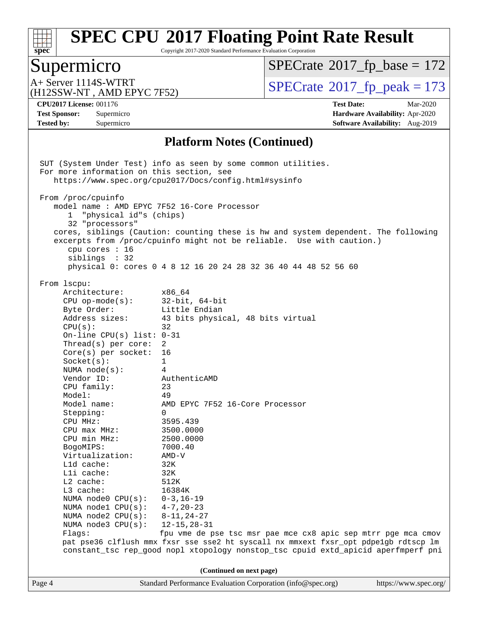

Copyright 2017-2020 Standard Performance Evaluation Corporation

### Supermicro

 $SPECTate$ <sup>®</sup>[2017\\_fp\\_base =](http://www.spec.org/auto/cpu2017/Docs/result-fields.html#SPECrate2017fpbase) 172

(H12SSW-NT , AMD EPYC 7F52)

A+ Server 1114S-WTRT  $\begin{array}{c} \text{SPECrate} \text{\textdegree}2017\_fp\_peak = 173 \\ \text{SPECrate} \text{\textdegree}2017\_fp\_peak = 173 \end{array}$  $\begin{array}{c} \text{SPECrate} \text{\textdegree}2017\_fp\_peak = 173 \\ \text{SPECrate} \text{\textdegree}2017\_fp\_peak = 173 \end{array}$  $\begin{array}{c} \text{SPECrate} \text{\textdegree}2017\_fp\_peak = 173 \\ \text{SPECrate} \text{\textdegree}2017\_fp\_peak = 173 \end{array}$ 

**[Tested by:](http://www.spec.org/auto/cpu2017/Docs/result-fields.html#Testedby)** Supermicro **Supermicro [Software Availability:](http://www.spec.org/auto/cpu2017/Docs/result-fields.html#SoftwareAvailability)** Aug-2019

**[CPU2017 License:](http://www.spec.org/auto/cpu2017/Docs/result-fields.html#CPU2017License)** 001176 **[Test Date:](http://www.spec.org/auto/cpu2017/Docs/result-fields.html#TestDate)** Mar-2020 **[Test Sponsor:](http://www.spec.org/auto/cpu2017/Docs/result-fields.html#TestSponsor)** Supermicro **[Hardware Availability:](http://www.spec.org/auto/cpu2017/Docs/result-fields.html#HardwareAvailability)** Apr-2020

#### **[Platform Notes \(Continued\)](http://www.spec.org/auto/cpu2017/Docs/result-fields.html#PlatformNotes)**

Page 4 Standard Performance Evaluation Corporation [\(info@spec.org\)](mailto:info@spec.org) <https://www.spec.org/> SUT (System Under Test) info as seen by some common utilities. For more information on this section, see <https://www.spec.org/cpu2017/Docs/config.html#sysinfo> From /proc/cpuinfo model name : AMD EPYC 7F52 16-Core Processor 1 "physical id"s (chips) 32 "processors" cores, siblings (Caution: counting these is hw and system dependent. The following excerpts from /proc/cpuinfo might not be reliable. Use with caution.) cpu cores : 16 siblings : 32 physical 0: cores 0 4 8 12 16 20 24 28 32 36 40 44 48 52 56 60 From lscpu: Architecture: x86\_64 CPU op-mode(s): 32-bit, 64-bit Byte Order: Little Endian Address sizes: 43 bits physical, 48 bits virtual  $CPU(s):$  32 On-line CPU(s) list: 0-31 Thread(s) per core: 2 Core(s) per socket: 16 Socket(s): 1 NUMA node(s): 4 Vendor ID: AuthenticAMD CPU family: 23 Model: 49 Model name: AMD EPYC 7F52 16-Core Processor Stepping: 0 CPU MHz: 3595.439 CPU max MHz: 3500.0000 CPU min MHz: 2500.0000 BogoMIPS: 7000.40 Virtualization: AMD-V L1d cache: 32K L1i cache: 32K L2 cache: 512K L3 cache: 16384K NUMA node0 CPU(s): 0-3,16-19 NUMA node1 CPU(s): 4-7,20-23 NUMA node2 CPU(s): 8-11,24-27 NUMA node3 CPU(s): 12-15,28-31 Flags: fpu vme de pse tsc msr pae mce cx8 apic sep mtrr pge mca cmov pat pse36 clflush mmx fxsr sse sse2 ht syscall nx mmxext fxsr\_opt pdpe1gb rdtscp lm constant\_tsc rep\_good nopl xtopology nonstop\_tsc cpuid extd\_apicid aperfmperf pni **(Continued on next page)**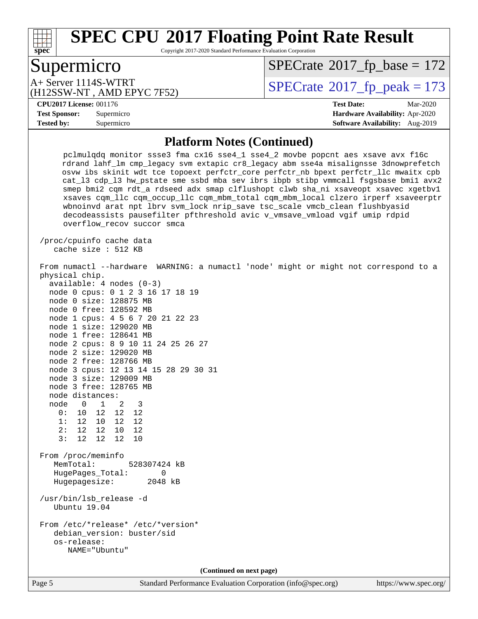

Copyright 2017-2020 Standard Performance Evaluation Corporation

# Supermicro

 $SPECTate$ <sup>®</sup>[2017\\_fp\\_base =](http://www.spec.org/auto/cpu2017/Docs/result-fields.html#SPECrate2017fpbase) 172

(H12SSW-NT , AMD EPYC 7F52) A+ Server 1114S-WTRT  $\begin{array}{c|c}\n\text{A+ Server 1114S-WTRT} & \text{SPECrate} \n\hline\n\text{B+ Server 2017-fp_peak} & = 173\n\end{array}$  $\begin{array}{c|c}\n\text{A+ Server 1114S-WTRT} & \text{SPECrate} \n\hline\n\text{B+ Server 2017-fp_peak} & = 173\n\end{array}$  $\begin{array}{c|c}\n\text{A+ Server 1114S-WTRT} & \text{SPECrate} \n\hline\n\text{B+ Server 2017-fp_peak} & = 173\n\end{array}$ 

#### **[CPU2017 License:](http://www.spec.org/auto/cpu2017/Docs/result-fields.html#CPU2017License)** 001176 **[Test Date:](http://www.spec.org/auto/cpu2017/Docs/result-fields.html#TestDate)** Mar-2020

**[Test Sponsor:](http://www.spec.org/auto/cpu2017/Docs/result-fields.html#TestSponsor)** Supermicro **[Hardware Availability:](http://www.spec.org/auto/cpu2017/Docs/result-fields.html#HardwareAvailability)** Apr-2020 **[Tested by:](http://www.spec.org/auto/cpu2017/Docs/result-fields.html#Testedby)** Supermicro **[Software Availability:](http://www.spec.org/auto/cpu2017/Docs/result-fields.html#SoftwareAvailability)** Aug-2019

#### **[Platform Notes \(Continued\)](http://www.spec.org/auto/cpu2017/Docs/result-fields.html#PlatformNotes)**

 pclmulqdq monitor ssse3 fma cx16 sse4\_1 sse4\_2 movbe popcnt aes xsave avx f16c rdrand lahf\_lm cmp\_legacy svm extapic cr8\_legacy abm sse4a misalignsse 3dnowprefetch osvw ibs skinit wdt tce topoext perfctr\_core perfctr\_nb bpext perfctr\_llc mwaitx cpb cat\_l3 cdp\_l3 hw\_pstate sme ssbd mba sev ibrs ibpb stibp vmmcall fsgsbase bmi1 avx2 smep bmi2 cqm rdt\_a rdseed adx smap clflushopt clwb sha\_ni xsaveopt xsavec xgetbv1 xsaves cqm\_llc cqm\_occup\_llc cqm\_mbm\_total cqm\_mbm\_local clzero irperf xsaveerptr wbnoinvd arat npt lbrv svm\_lock nrip\_save tsc\_scale vmcb\_clean flushbyasid decodeassists pausefilter pfthreshold avic v\_vmsave\_vmload vgif umip rdpid overflow\_recov succor smca

 /proc/cpuinfo cache data cache size : 512 KB

#### From numactl --hardware WARNING: a numactl 'node' might or might not correspond to a physical chip.

| $available: 4 nodes (0-3)$           |                |       |    |  |  |  |
|--------------------------------------|----------------|-------|----|--|--|--|
| node 0 cpus: 0 1 2 3 16 17 18 19     |                |       |    |  |  |  |
| node 0 size: 128875 MB               |                |       |    |  |  |  |
| node 0 free: 128592 MB               |                |       |    |  |  |  |
| node 1 cpus: 4 5 6 7 20 21 22 23     |                |       |    |  |  |  |
| node 1 size: 129020 MB               |                |       |    |  |  |  |
| node 1 free: 128641 MB               |                |       |    |  |  |  |
| node 2 cpus: 8 9 10 11 24 25 26 27   |                |       |    |  |  |  |
| node 2 size: 129020 MB               |                |       |    |  |  |  |
| node 2 free: 128766 MB               |                |       |    |  |  |  |
| node 3 cpus: 12 13 14 15 28 29 30 31 |                |       |    |  |  |  |
| node 3 size: 129009 MB               |                |       |    |  |  |  |
| node 3 free: 128765 MB               |                |       |    |  |  |  |
| node distances:                      |                |       |    |  |  |  |
| node                                 | $\Omega$       | 1 2 3 |    |  |  |  |
|                                      | 0: 10 12 12 12 |       |    |  |  |  |
|                                      | 1: 12 10 12 12 |       |    |  |  |  |
|                                      | 2: 12 12 10    |       | 12 |  |  |  |

 From /proc/meminfo MemTotal: 528307424 kB HugePages\_Total: 0 Hugepagesize: 2048 kB

 /usr/bin/lsb\_release -d Ubuntu 19.04

3: 12 12 12 10

 From /etc/\*release\* /etc/\*version\* debian\_version: buster/sid os-release: NAME="Ubuntu"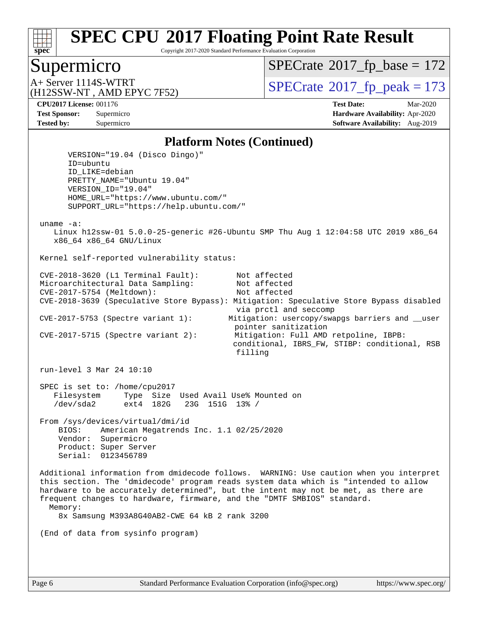

Copyright 2017-2020 Standard Performance Evaluation Corporation

### Supermicro

 $SPECTate$ <sup>®</sup>[2017\\_fp\\_base =](http://www.spec.org/auto/cpu2017/Docs/result-fields.html#SPECrate2017fpbase) 172

(H12SSW-NT , AMD EPYC 7F52)

A+ Server 1114S-WTRT  $\begin{array}{c} \text{SPECrate} \text{\textdegree}2017\_fp\_peak = 173 \\ \text{SPECrate} \text{\textdegree}2017\_fp\_peak = 173 \end{array}$  $\begin{array}{c} \text{SPECrate} \text{\textdegree}2017\_fp\_peak = 173 \\ \text{SPECrate} \text{\textdegree}2017\_fp\_peak = 173 \end{array}$  $\begin{array}{c} \text{SPECrate} \text{\textdegree}2017\_fp\_peak = 173 \\ \text{SPECrate} \text{\textdegree}2017\_fp\_peak = 173 \end{array}$ 

**[CPU2017 License:](http://www.spec.org/auto/cpu2017/Docs/result-fields.html#CPU2017License)** 001176 **[Test Date:](http://www.spec.org/auto/cpu2017/Docs/result-fields.html#TestDate)** Mar-2020 **[Test Sponsor:](http://www.spec.org/auto/cpu2017/Docs/result-fields.html#TestSponsor)** Supermicro **[Hardware Availability:](http://www.spec.org/auto/cpu2017/Docs/result-fields.html#HardwareAvailability)** Apr-2020 **[Tested by:](http://www.spec.org/auto/cpu2017/Docs/result-fields.html#Testedby)** Supermicro **Supermicro [Software Availability:](http://www.spec.org/auto/cpu2017/Docs/result-fields.html#SoftwareAvailability)** Aug-2019

#### **[Platform Notes \(Continued\)](http://www.spec.org/auto/cpu2017/Docs/result-fields.html#PlatformNotes)**

 VERSION="19.04 (Disco Dingo)" ID=ubuntu ID\_LIKE=debian PRETTY\_NAME="Ubuntu 19.04" VERSION\_ID="19.04" HOME\_URL="<https://www.ubuntu.com/"> SUPPORT\_URL="<https://help.ubuntu.com/"> uname -a: Linux h12ssw-01 5.0.0-25-generic #26-Ubuntu SMP Thu Aug 1 12:04:58 UTC 2019 x86\_64 x86\_64 x86\_64 GNU/Linux Kernel self-reported vulnerability status: CVE-2018-3620 (L1 Terminal Fault): Not affected Microarchitectural Data Sampling: Not affected CVE-2017-5754 (Meltdown): Not affected CVE-2018-3639 (Speculative Store Bypass): Mitigation: Speculative Store Bypass disabled via prctl and seccomp CVE-2017-5753 (Spectre variant 1): Mitigation: usercopy/swapgs barriers and \_\_user pointer sanitization CVE-2017-5715 (Spectre variant 2): Mitigation: Full AMD retpoline, IBPB: conditional, IBRS\_FW, STIBP: conditional, RSB filling run-level 3 Mar 24 10:10 SPEC is set to: /home/cpu2017 Filesystem Type Size Used Avail Use% Mounted on<br>
/dev/sda2 ext4 182G 23G 151G 13% / /dev/sda2 ext4 182G 23G 151G 13% / From /sys/devices/virtual/dmi/id BIOS: American Megatrends Inc. 1.1 02/25/2020 Vendor: Supermicro Product: Super Server Serial: 0123456789 Additional information from dmidecode follows. WARNING: Use caution when you interpret this section. The 'dmidecode' program reads system data which is "intended to allow hardware to be accurately determined", but the intent may not be met, as there are frequent changes to hardware, firmware, and the "DMTF SMBIOS" standard. Memory: 8x Samsung M393A8G40AB2-CWE 64 kB 2 rank 3200 (End of data from sysinfo program)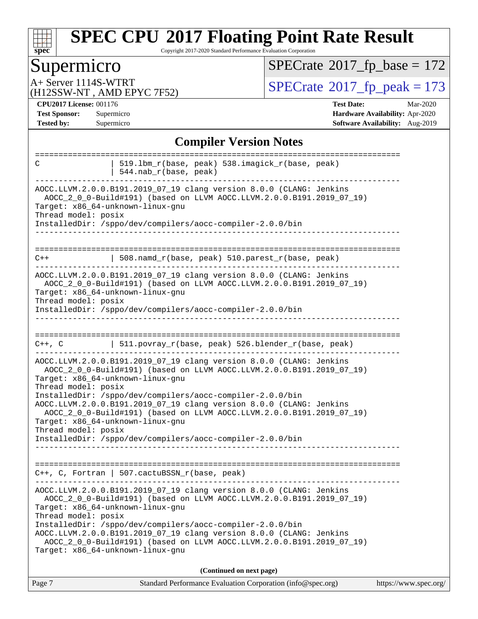

Copyright 2017-2020 Standard Performance Evaluation Corporation

# Supermicro

 $SPECrate$ <sup>®</sup>[2017\\_fp\\_base =](http://www.spec.org/auto/cpu2017/Docs/result-fields.html#SPECrate2017fpbase) 172

(H12SSW-NT , AMD EPYC 7F52)

A+ Server 1114S-WTRT<br>
(H12SSW-NT, AMD EPYC 7F52) [SPECrate](http://www.spec.org/auto/cpu2017/Docs/result-fields.html#SPECrate2017fppeak)®[2017\\_fp\\_peak = 1](http://www.spec.org/auto/cpu2017/Docs/result-fields.html#SPECrate2017fppeak)73

**[CPU2017 License:](http://www.spec.org/auto/cpu2017/Docs/result-fields.html#CPU2017License)** 001176 **[Test Date:](http://www.spec.org/auto/cpu2017/Docs/result-fields.html#TestDate)** Mar-2020 **[Test Sponsor:](http://www.spec.org/auto/cpu2017/Docs/result-fields.html#TestSponsor)** Supermicro **[Hardware Availability:](http://www.spec.org/auto/cpu2017/Docs/result-fields.html#HardwareAvailability)** Apr-2020 **[Tested by:](http://www.spec.org/auto/cpu2017/Docs/result-fields.html#Testedby)** Supermicro **[Software Availability:](http://www.spec.org/auto/cpu2017/Docs/result-fields.html#SoftwareAvailability)** Aug-2019

### **[Compiler Version Notes](http://www.spec.org/auto/cpu2017/Docs/result-fields.html#CompilerVersionNotes)**

| 519.1bm_r(base, peak) 538.imagick_r(base, peak)<br>C<br>544.nab_r(base, peak)                                                                                                                                                                                        |
|----------------------------------------------------------------------------------------------------------------------------------------------------------------------------------------------------------------------------------------------------------------------|
| AOCC.LLVM.2.0.0.B191.2019_07_19 clang version 8.0.0 (CLANG: Jenkins<br>AOCC_2_0_0-Build#191) (based on LLVM AOCC.LLVM.2.0.0.B191.2019_07_19)<br>Target: x86_64-unknown-linux-gnu<br>Thread model: posix                                                              |
| InstalledDir: /sppo/dev/compilers/aocc-compiler-2.0.0/bin                                                                                                                                                                                                            |
| 508.namd_r(base, peak) 510.parest_r(base, peak)<br>$C++$                                                                                                                                                                                                             |
| AOCC.LLVM.2.0.0.B191.2019_07_19 clang version 8.0.0 (CLANG: Jenkins<br>AOCC_2_0_0-Build#191) (based on LLVM AOCC.LLVM.2.0.0.B191.2019_07_19)<br>Target: x86_64-unknown-linux-gnu<br>Thread model: posix<br>InstalledDir: /sppo/dev/compilers/aocc-compiler-2.0.0/bin |
|                                                                                                                                                                                                                                                                      |
| 511.povray_r(base, peak) 526.blender_r(base, peak)<br>$C++$ , $C$                                                                                                                                                                                                    |
| AOCC.LLVM.2.0.0.B191.2019_07_19 clang version 8.0.0 (CLANG: Jenkins<br>AOCC_2_0_0-Build#191) (based on LLVM AOCC.LLVM.2.0.0.B191.2019_07_19)<br>Target: x86_64-unknown-linux-gnu<br>Thread model: posix                                                              |
| InstalledDir: /sppo/dev/compilers/aocc-compiler-2.0.0/bin<br>AOCC.LLVM.2.0.0.B191.2019_07_19 clang version 8.0.0 (CLANG: Jenkins<br>AOCC_2_0_0-Build#191) (based on LLVM AOCC.LLVM.2.0.0.B191.2019_07_19)<br>Target: x86_64-unknown-linux-gnu                        |
| Thread model: posix<br>InstalledDir: /sppo/dev/compilers/aocc-compiler-2.0.0/bin                                                                                                                                                                                     |
|                                                                                                                                                                                                                                                                      |
| C++, C, Fortran   507.cactuBSSN_r(base, peak)                                                                                                                                                                                                                        |
| AOCC.LLVM.2.0.0.B191.2019_07_19 clang version 8.0.0 (CLANG: Jenkins<br>AOCC_2_0_0-Build#191) (based on LLVM AOCC.LLVM.2.0.0.B191.2019_07_19)<br>Target: x86 64-unknown-linux-qnu<br>Thread model: posix                                                              |
| InstalledDir: /sppo/dev/compilers/aocc-compiler-2.0.0/bin<br>AOCC.LLVM.2.0.0.B191.2019_07_19 clang version 8.0.0 (CLANG: Jenkins<br>AOCC_2_0_0-Build#191) (based on LLVM AOCC.LLVM.2.0.0.B191.2019_07_19)<br>Target: x86 64-unknown-linux-gnu                        |
| (Continued on next page)                                                                                                                                                                                                                                             |
|                                                                                                                                                                                                                                                                      |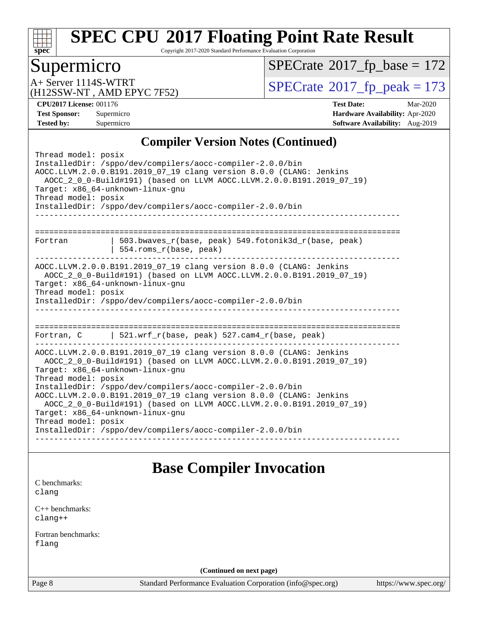

Copyright 2017-2020 Standard Performance Evaluation Corporation

## Supermicro

 $SPECrate$ <sup>®</sup>[2017\\_fp\\_base =](http://www.spec.org/auto/cpu2017/Docs/result-fields.html#SPECrate2017fpbase) 172

(H12SSW-NT , AMD EPYC 7F52)

A+ Server 1114S-WTRT<br>
(H12SSW-NT, AMD EPYC 7F52) [SPECrate](http://www.spec.org/auto/cpu2017/Docs/result-fields.html#SPECrate2017fppeak)®[2017\\_fp\\_peak = 1](http://www.spec.org/auto/cpu2017/Docs/result-fields.html#SPECrate2017fppeak)73

**[CPU2017 License:](http://www.spec.org/auto/cpu2017/Docs/result-fields.html#CPU2017License)** 001176 **[Test Date:](http://www.spec.org/auto/cpu2017/Docs/result-fields.html#TestDate)** Mar-2020 **[Test Sponsor:](http://www.spec.org/auto/cpu2017/Docs/result-fields.html#TestSponsor)** Supermicro **[Hardware Availability:](http://www.spec.org/auto/cpu2017/Docs/result-fields.html#HardwareAvailability)** Apr-2020 **[Tested by:](http://www.spec.org/auto/cpu2017/Docs/result-fields.html#Testedby)** Supermicro **Supermicro [Software Availability:](http://www.spec.org/auto/cpu2017/Docs/result-fields.html#SoftwareAvailability)** Aug-2019

#### **[Compiler Version Notes \(Continued\)](http://www.spec.org/auto/cpu2017/Docs/result-fields.html#CompilerVersionNotes)**

| Thread model: posix<br>InstalledDir: /sppo/dev/compilers/aocc-compiler-2.0.0/bin<br>AOCC.LLVM.2.0.0.B191.2019_07_19 clang version 8.0.0 (CLANG: Jenkins<br>AOCC_2_0_0-Build#191) (based on LLVM AOCC.LLVM.2.0.0.B191.2019_07_19)<br>Target: x86_64-unknown-linux-gnu<br>Thread model: posix<br>InstalledDir: /sppo/dev/compilers/aocc-compiler-2.0.0/bin                                                                                                                                                                                     |                                                                                  |  |  |  |  |  |  |
|----------------------------------------------------------------------------------------------------------------------------------------------------------------------------------------------------------------------------------------------------------------------------------------------------------------------------------------------------------------------------------------------------------------------------------------------------------------------------------------------------------------------------------------------|----------------------------------------------------------------------------------|--|--|--|--|--|--|
| Fortran                                                                                                                                                                                                                                                                                                                                                                                                                                                                                                                                      | $503.bwaves_r(base, peak)$ 549.fotonik3d_r(base, peak)<br>554.roms r(base, peak) |  |  |  |  |  |  |
| AOCC.LLVM.2.0.0.B191.2019_07_19 clang version 8.0.0 (CLANG: Jenkins<br>AOCC 2 0 0-Build#191) (based on LLVM AOCC.LLVM.2.0.0.B191.2019 07 19)<br>Target: x86_64-unknown-linux-gnu<br>Thread model: posix<br>InstalledDir: /sppo/dev/compilers/aocc-compiler-2.0.0/bin                                                                                                                                                                                                                                                                         |                                                                                  |  |  |  |  |  |  |
|                                                                                                                                                                                                                                                                                                                                                                                                                                                                                                                                              | Fortran, C   521.wrf_r(base, peak) 527.cam4_r(base, peak)                        |  |  |  |  |  |  |
| AOCC.LLVM.2.0.0.B191.2019_07_19 clang version 8.0.0 (CLANG: Jenkins<br>AOCC_2_0_0-Build#191) (based on LLVM AOCC.LLVM.2.0.0.B191.2019_07_19)<br>Target: x86_64-unknown-linux-gnu<br>Thread model: posix<br>InstalledDir: /sppo/dev/compilers/aocc-compiler-2.0.0/bin<br>AOCC.LLVM.2.0.0.B191.2019_07_19 clang version 8.0.0 (CLANG: Jenkins<br>AOCC_2_0_0-Build#191) (based on LLVM AOCC.LLVM.2.0.0.B191.2019_07_19)<br>Target: x86_64-unknown-linux-gnu<br>Thread model: posix<br>InstalledDir: /sppo/dev/compilers/aocc-compiler-2.0.0/bin |                                                                                  |  |  |  |  |  |  |

### **[Base Compiler Invocation](http://www.spec.org/auto/cpu2017/Docs/result-fields.html#BaseCompilerInvocation)**

[C benchmarks](http://www.spec.org/auto/cpu2017/Docs/result-fields.html#Cbenchmarks): [clang](http://www.spec.org/cpu2017/results/res2020q2/cpu2017-20200331-21863.flags.html#user_CCbase_clang-c)

[C++ benchmarks:](http://www.spec.org/auto/cpu2017/Docs/result-fields.html#CXXbenchmarks) [clang++](http://www.spec.org/cpu2017/results/res2020q2/cpu2017-20200331-21863.flags.html#user_CXXbase_clang-cpp)

[Fortran benchmarks](http://www.spec.org/auto/cpu2017/Docs/result-fields.html#Fortranbenchmarks): [flang](http://www.spec.org/cpu2017/results/res2020q2/cpu2017-20200331-21863.flags.html#user_FCbase_flang)

**(Continued on next page)**

Page 8 Standard Performance Evaluation Corporation [\(info@spec.org\)](mailto:info@spec.org) <https://www.spec.org/>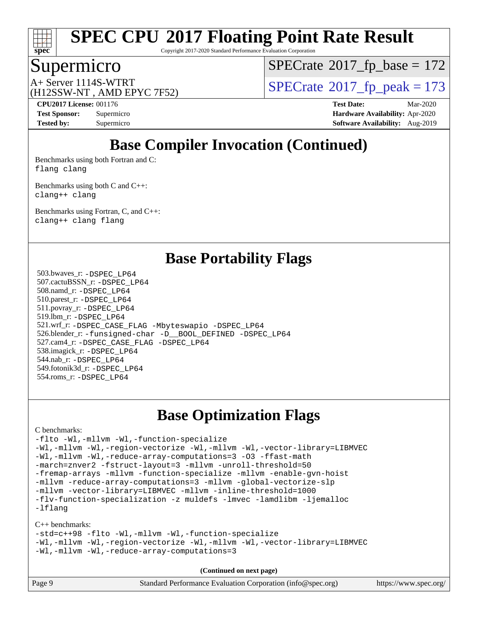

Copyright 2017-2020 Standard Performance Evaluation Corporation

### Supermicro

 $SPECTate$ <sup>®</sup>[2017\\_fp\\_base =](http://www.spec.org/auto/cpu2017/Docs/result-fields.html#SPECrate2017fpbase) 172

(H12SSW-NT , AMD EPYC 7F52)

A+ Server 1114S-WTRT  $\begin{array}{c|c}\n\text{A+ Server 1114S-WTRT} & \text{SPECrate} \n\hline\n\text{B+ Server 2017-fp_peak} & = 173\n\end{array}$  $\begin{array}{c|c}\n\text{A+ Server 1114S-WTRT} & \text{SPECrate} \n\hline\n\text{B+ Server 2017-fp_peak} & = 173\n\end{array}$  $\begin{array}{c|c}\n\text{A+ Server 1114S-WTRT} & \text{SPECrate} \n\hline\n\text{B+ Server 2017-fp_peak} & = 173\n\end{array}$ 

**[CPU2017 License:](http://www.spec.org/auto/cpu2017/Docs/result-fields.html#CPU2017License)** 001176 **[Test Date:](http://www.spec.org/auto/cpu2017/Docs/result-fields.html#TestDate)** Mar-2020 **[Test Sponsor:](http://www.spec.org/auto/cpu2017/Docs/result-fields.html#TestSponsor)** Supermicro **[Hardware Availability:](http://www.spec.org/auto/cpu2017/Docs/result-fields.html#HardwareAvailability)** Apr-2020 **[Tested by:](http://www.spec.org/auto/cpu2017/Docs/result-fields.html#Testedby)** Supermicro **[Software Availability:](http://www.spec.org/auto/cpu2017/Docs/result-fields.html#SoftwareAvailability)** Aug-2019

# **[Base Compiler Invocation \(Continued\)](http://www.spec.org/auto/cpu2017/Docs/result-fields.html#BaseCompilerInvocation)**

[Benchmarks using both Fortran and C](http://www.spec.org/auto/cpu2017/Docs/result-fields.html#BenchmarksusingbothFortranandC): [flang](http://www.spec.org/cpu2017/results/res2020q2/cpu2017-20200331-21863.flags.html#user_CC_FCbase_flang) [clang](http://www.spec.org/cpu2017/results/res2020q2/cpu2017-20200331-21863.flags.html#user_CC_FCbase_clang-c)

[Benchmarks using both C and C++](http://www.spec.org/auto/cpu2017/Docs/result-fields.html#BenchmarksusingbothCandCXX): [clang++](http://www.spec.org/cpu2017/results/res2020q2/cpu2017-20200331-21863.flags.html#user_CC_CXXbase_clang-cpp) [clang](http://www.spec.org/cpu2017/results/res2020q2/cpu2017-20200331-21863.flags.html#user_CC_CXXbase_clang-c)

[Benchmarks using Fortran, C, and C++:](http://www.spec.org/auto/cpu2017/Docs/result-fields.html#BenchmarksusingFortranCandCXX) [clang++](http://www.spec.org/cpu2017/results/res2020q2/cpu2017-20200331-21863.flags.html#user_CC_CXX_FCbase_clang-cpp) [clang](http://www.spec.org/cpu2017/results/res2020q2/cpu2017-20200331-21863.flags.html#user_CC_CXX_FCbase_clang-c) [flang](http://www.spec.org/cpu2017/results/res2020q2/cpu2017-20200331-21863.flags.html#user_CC_CXX_FCbase_flang)

**[Base Portability Flags](http://www.spec.org/auto/cpu2017/Docs/result-fields.html#BasePortabilityFlags)**

 503.bwaves\_r: [-DSPEC\\_LP64](http://www.spec.org/cpu2017/results/res2020q2/cpu2017-20200331-21863.flags.html#suite_baseEXTRA_PORTABILITY503_bwaves_r_DSPEC_LP64) 507.cactuBSSN\_r: [-DSPEC\\_LP64](http://www.spec.org/cpu2017/results/res2020q2/cpu2017-20200331-21863.flags.html#suite_baseEXTRA_PORTABILITY507_cactuBSSN_r_DSPEC_LP64) 508.namd\_r: [-DSPEC\\_LP64](http://www.spec.org/cpu2017/results/res2020q2/cpu2017-20200331-21863.flags.html#suite_baseEXTRA_PORTABILITY508_namd_r_DSPEC_LP64) 510.parest\_r: [-DSPEC\\_LP64](http://www.spec.org/cpu2017/results/res2020q2/cpu2017-20200331-21863.flags.html#suite_baseEXTRA_PORTABILITY510_parest_r_DSPEC_LP64) 511.povray\_r: [-DSPEC\\_LP64](http://www.spec.org/cpu2017/results/res2020q2/cpu2017-20200331-21863.flags.html#suite_baseEXTRA_PORTABILITY511_povray_r_DSPEC_LP64) 519.lbm\_r: [-DSPEC\\_LP64](http://www.spec.org/cpu2017/results/res2020q2/cpu2017-20200331-21863.flags.html#suite_baseEXTRA_PORTABILITY519_lbm_r_DSPEC_LP64) 521.wrf\_r: [-DSPEC\\_CASE\\_FLAG](http://www.spec.org/cpu2017/results/res2020q2/cpu2017-20200331-21863.flags.html#b521.wrf_r_baseCPORTABILITY_DSPEC_CASE_FLAG) [-Mbyteswapio](http://www.spec.org/cpu2017/results/res2020q2/cpu2017-20200331-21863.flags.html#user_baseFPORTABILITY521_wrf_r_F-mbyteswapio_543c39ce38db59bcbc3b888917ef58c313007ae1c27520b689e012995ae261114051d1d5efcb4182d175ce22a6a15532d3a9999882dd2c360e6d853f41da6883) [-DSPEC\\_LP64](http://www.spec.org/cpu2017/results/res2020q2/cpu2017-20200331-21863.flags.html#suite_baseEXTRA_PORTABILITY521_wrf_r_DSPEC_LP64) 526.blender\_r: [-funsigned-char](http://www.spec.org/cpu2017/results/res2020q2/cpu2017-20200331-21863.flags.html#user_baseCPORTABILITY526_blender_r_aocc-unsigned-char) [-D\\_\\_BOOL\\_DEFINED](http://www.spec.org/cpu2017/results/res2020q2/cpu2017-20200331-21863.flags.html#b526.blender_r_baseCXXPORTABILITY_D__BOOL_DEFINED) [-DSPEC\\_LP64](http://www.spec.org/cpu2017/results/res2020q2/cpu2017-20200331-21863.flags.html#suite_baseEXTRA_PORTABILITY526_blender_r_DSPEC_LP64) 527.cam4\_r: [-DSPEC\\_CASE\\_FLAG](http://www.spec.org/cpu2017/results/res2020q2/cpu2017-20200331-21863.flags.html#b527.cam4_r_basePORTABILITY_DSPEC_CASE_FLAG) [-DSPEC\\_LP64](http://www.spec.org/cpu2017/results/res2020q2/cpu2017-20200331-21863.flags.html#suite_baseEXTRA_PORTABILITY527_cam4_r_DSPEC_LP64) 538.imagick\_r: [-DSPEC\\_LP64](http://www.spec.org/cpu2017/results/res2020q2/cpu2017-20200331-21863.flags.html#suite_baseEXTRA_PORTABILITY538_imagick_r_DSPEC_LP64) 544.nab\_r: [-DSPEC\\_LP64](http://www.spec.org/cpu2017/results/res2020q2/cpu2017-20200331-21863.flags.html#suite_baseEXTRA_PORTABILITY544_nab_r_DSPEC_LP64) 549.fotonik3d\_r: [-DSPEC\\_LP64](http://www.spec.org/cpu2017/results/res2020q2/cpu2017-20200331-21863.flags.html#suite_baseEXTRA_PORTABILITY549_fotonik3d_r_DSPEC_LP64) 554.roms\_r: [-DSPEC\\_LP64](http://www.spec.org/cpu2017/results/res2020q2/cpu2017-20200331-21863.flags.html#suite_baseEXTRA_PORTABILITY554_roms_r_DSPEC_LP64)

## **[Base Optimization Flags](http://www.spec.org/auto/cpu2017/Docs/result-fields.html#BaseOptimizationFlags)**

#### [C benchmarks](http://www.spec.org/auto/cpu2017/Docs/result-fields.html#Cbenchmarks):

[-flto](http://www.spec.org/cpu2017/results/res2020q2/cpu2017-20200331-21863.flags.html#user_CCbase_aocc-flto) [-Wl,-mllvm -Wl,-function-specialize](http://www.spec.org/cpu2017/results/res2020q2/cpu2017-20200331-21863.flags.html#user_CCbase_F-function-specialize_7e7e661e57922243ee67c9a1251cb8910e607325179a0ce7f2884e09a6f5d4a5ef0ae4f37e8a2a11c95fc48e931f06dc2b6016f14b511fcb441e048bef1b065a) [-Wl,-mllvm -Wl,-region-vectorize](http://www.spec.org/cpu2017/results/res2020q2/cpu2017-20200331-21863.flags.html#user_CCbase_F-region-vectorize_fb6c6b5aa293c88efc6c7c2b52b20755e943585b1fe8658c35afef78727fff56e1a56891413c30e36b8e2a6f9a71126986319243e80eb6110b78b288f533c52b) [-Wl,-mllvm -Wl,-vector-library=LIBMVEC](http://www.spec.org/cpu2017/results/res2020q2/cpu2017-20200331-21863.flags.html#user_CCbase_F-use-vector-library_0a14b27fae317f283640384a31f7bfcc2bd4c1d0b5cfc618a3a430800c9b20217b00f61303eff223a3251b4f06ffbc9739dc5296db9d1fbb9ad24a3939d86d66) [-Wl,-mllvm -Wl,-reduce-array-computations=3](http://www.spec.org/cpu2017/results/res2020q2/cpu2017-20200331-21863.flags.html#user_CCbase_F-reduce-array-computations_b882aefe7a5dda4e33149f6299762b9a720dace3e498e13756f4c04e5a19edf5315c1f3993de2e61ec41e8c206231f84e05da7040e1bb5d69ba27d10a12507e4) [-O3](http://www.spec.org/cpu2017/results/res2020q2/cpu2017-20200331-21863.flags.html#user_CCbase_F-O3) [-ffast-math](http://www.spec.org/cpu2017/results/res2020q2/cpu2017-20200331-21863.flags.html#user_CCbase_aocc-ffast-math) [-march=znver2](http://www.spec.org/cpu2017/results/res2020q2/cpu2017-20200331-21863.flags.html#user_CCbase_aocc-march_3e2e19cff2eeef60c5d90b059483627c9ea47eca6d66670dbd53f9185f6439e27eb5e104cf773e9e8ab18c8842ce63e461a3e948d0214bd567ef3ade411bf467) [-fstruct-layout=3](http://www.spec.org/cpu2017/results/res2020q2/cpu2017-20200331-21863.flags.html#user_CCbase_F-struct-layout) [-mllvm -unroll-threshold=50](http://www.spec.org/cpu2017/results/res2020q2/cpu2017-20200331-21863.flags.html#user_CCbase_F-unroll-threshold_458874500b2c105d6d5cb4d7a611c40e2b16e9e3d26b355fea72d644c3673b4de4b3932662f0ed3dbec75c491a13da2d2ca81180bd779dc531083ef1e1e549dc) [-fremap-arrays](http://www.spec.org/cpu2017/results/res2020q2/cpu2017-20200331-21863.flags.html#user_CCbase_F-fremap-arrays) [-mllvm -function-specialize](http://www.spec.org/cpu2017/results/res2020q2/cpu2017-20200331-21863.flags.html#user_CCbase_F-function-specialize_233b3bdba86027f1b094368157e481c5bc59f40286dc25bfadc1858dcd5745c24fd30d5f188710db7fea399bcc9f44a80b3ce3aacc70a8870250c3ae5e1f35b8) [-mllvm -enable-gvn-hoist](http://www.spec.org/cpu2017/results/res2020q2/cpu2017-20200331-21863.flags.html#user_CCbase_F-enable-gvn-hoist_e5856354646dd6ca1333a0ad99b817e4cf8932b91b82809fd8fd47ceff7b22a89eba5c98fd3e3fa5200368fd772cec3dd56abc3c8f7b655a71b9f9848dddedd5) [-mllvm -reduce-array-computations=3](http://www.spec.org/cpu2017/results/res2020q2/cpu2017-20200331-21863.flags.html#user_CCbase_F-reduce-array-computations_aceadb8604558b566e0e3a0d7a3c1533923dd1fa0889614e16288028922629a28d5695c24d3b3be4306b1e311c54317dfffe3a2e57fbcaabc737a1798de39145) [-mllvm -global-vectorize-slp](http://www.spec.org/cpu2017/results/res2020q2/cpu2017-20200331-21863.flags.html#user_CCbase_F-global-vectorize-slp_a3935e8627af4ced727033b1ffd4db27f4d541a363d28d82bf4c2925fb3a0fd4115d6e42d13a2829f9e024d6608eb67a85cb49770f2da5c5ac8dbc737afad603) [-mllvm -vector-library=LIBMVEC](http://www.spec.org/cpu2017/results/res2020q2/cpu2017-20200331-21863.flags.html#user_CCbase_F-use-vector-library_e584e20b4f7ec96aa109254b65d8e01d864f3d68580371b9d93ed7c338191d4cfce20c3c864632264effc6bbe4c7c38153d02096a342ee92501c4a53204a7871) [-mllvm -inline-threshold=1000](http://www.spec.org/cpu2017/results/res2020q2/cpu2017-20200331-21863.flags.html#user_CCbase_dragonegg-llvm-inline-threshold_b7832241b0a6397e4ecdbaf0eb7defdc10f885c2a282fa3240fdc99844d543fda39cf8a4a9dccf68cf19b5438ac3b455264f478df15da0f4988afa40d8243bab) [-flv-function-specialization](http://www.spec.org/cpu2017/results/res2020q2/cpu2017-20200331-21863.flags.html#user_CCbase_F-flv-function-specialization) [-z muldefs](http://www.spec.org/cpu2017/results/res2020q2/cpu2017-20200331-21863.flags.html#user_CCbase_aocc-muldefs) [-lmvec](http://www.spec.org/cpu2017/results/res2020q2/cpu2017-20200331-21863.flags.html#user_CCbase_F-lmvec) [-lamdlibm](http://www.spec.org/cpu2017/results/res2020q2/cpu2017-20200331-21863.flags.html#user_CCbase_F-lamdlibm) [-ljemalloc](http://www.spec.org/cpu2017/results/res2020q2/cpu2017-20200331-21863.flags.html#user_CCbase_jemalloc-lib) [-lflang](http://www.spec.org/cpu2017/results/res2020q2/cpu2017-20200331-21863.flags.html#user_CCbase_F-lflang)

#### [C++ benchmarks:](http://www.spec.org/auto/cpu2017/Docs/result-fields.html#CXXbenchmarks)

[-std=c++98](http://www.spec.org/cpu2017/results/res2020q2/cpu2017-20200331-21863.flags.html#user_CXXbase_std-cpp) [-flto](http://www.spec.org/cpu2017/results/res2020q2/cpu2017-20200331-21863.flags.html#user_CXXbase_aocc-flto) [-Wl,-mllvm -Wl,-function-specialize](http://www.spec.org/cpu2017/results/res2020q2/cpu2017-20200331-21863.flags.html#user_CXXbase_F-function-specialize_7e7e661e57922243ee67c9a1251cb8910e607325179a0ce7f2884e09a6f5d4a5ef0ae4f37e8a2a11c95fc48e931f06dc2b6016f14b511fcb441e048bef1b065a) [-Wl,-mllvm -Wl,-region-vectorize](http://www.spec.org/cpu2017/results/res2020q2/cpu2017-20200331-21863.flags.html#user_CXXbase_F-region-vectorize_fb6c6b5aa293c88efc6c7c2b52b20755e943585b1fe8658c35afef78727fff56e1a56891413c30e36b8e2a6f9a71126986319243e80eb6110b78b288f533c52b) [-Wl,-mllvm -Wl,-vector-library=LIBMVEC](http://www.spec.org/cpu2017/results/res2020q2/cpu2017-20200331-21863.flags.html#user_CXXbase_F-use-vector-library_0a14b27fae317f283640384a31f7bfcc2bd4c1d0b5cfc618a3a430800c9b20217b00f61303eff223a3251b4f06ffbc9739dc5296db9d1fbb9ad24a3939d86d66) [-Wl,-mllvm -Wl,-reduce-array-computations=3](http://www.spec.org/cpu2017/results/res2020q2/cpu2017-20200331-21863.flags.html#user_CXXbase_F-reduce-array-computations_b882aefe7a5dda4e33149f6299762b9a720dace3e498e13756f4c04e5a19edf5315c1f3993de2e61ec41e8c206231f84e05da7040e1bb5d69ba27d10a12507e4)

| Standard Performance Evaluation Corporation (info@spec.org)<br>Page 9<br>https://www.spec.org/ |
|------------------------------------------------------------------------------------------------|
|------------------------------------------------------------------------------------------------|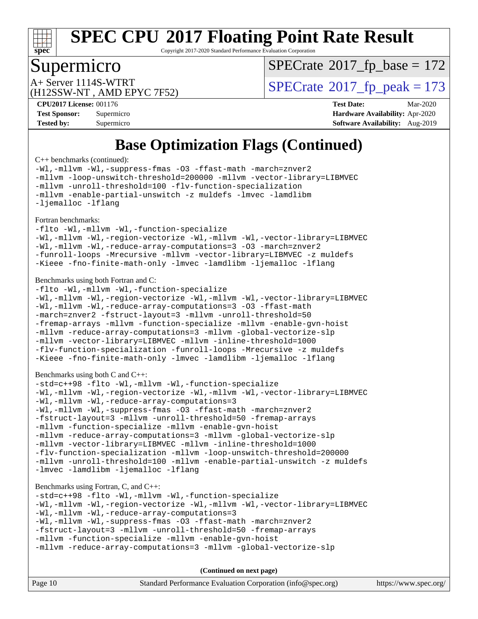

Copyright 2017-2020 Standard Performance Evaluation Corporation

### Supermicro

 $SPECTate$ <sup>®</sup>[2017\\_fp\\_base =](http://www.spec.org/auto/cpu2017/Docs/result-fields.html#SPECrate2017fpbase) 172

(H12SSW-NT , AMD EPYC 7F52)

A+ Server 1114S-WTRT  $\begin{array}{c|c}\n\text{A+ Server 1114S-WTRT} & \text{SPECrate} \n\hline\n\text{B+ Server 2017-fp_peak} & = 173\n\end{array}$  $\begin{array}{c|c}\n\text{A+ Server 1114S-WTRT} & \text{SPECrate} \n\hline\n\text{B+ Server 2017-fp_peak} & = 173\n\end{array}$  $\begin{array}{c|c}\n\text{A+ Server 1114S-WTRT} & \text{SPECrate} \n\hline\n\text{B+ Server 2017-fp_peak} & = 173\n\end{array}$ 

**[CPU2017 License:](http://www.spec.org/auto/cpu2017/Docs/result-fields.html#CPU2017License)** 001176 **[Test Date:](http://www.spec.org/auto/cpu2017/Docs/result-fields.html#TestDate)** Mar-2020 **[Test Sponsor:](http://www.spec.org/auto/cpu2017/Docs/result-fields.html#TestSponsor)** Supermicro **[Hardware Availability:](http://www.spec.org/auto/cpu2017/Docs/result-fields.html#HardwareAvailability)** Apr-2020 **[Tested by:](http://www.spec.org/auto/cpu2017/Docs/result-fields.html#Testedby)** Supermicro **Supermicro [Software Availability:](http://www.spec.org/auto/cpu2017/Docs/result-fields.html#SoftwareAvailability)** Aug-2019

# **[Base Optimization Flags \(Continued\)](http://www.spec.org/auto/cpu2017/Docs/result-fields.html#BaseOptimizationFlags)**

[C++ benchmarks](http://www.spec.org/auto/cpu2017/Docs/result-fields.html#CXXbenchmarks) (continued):

[-Wl,-mllvm -Wl,-suppress-fmas](http://www.spec.org/cpu2017/results/res2020q2/cpu2017-20200331-21863.flags.html#user_CXXbase_F-suppress-fmas_f00f00630e4a059e8af9c161e9bbf420bcf19890a7f99d5933525e66aa4b0bb3ab2339d2b12d97d3a5f5d271e839fe9c109938e91fe06230fb53651590cfa1e8) [-O3](http://www.spec.org/cpu2017/results/res2020q2/cpu2017-20200331-21863.flags.html#user_CXXbase_F-O3) [-ffast-math](http://www.spec.org/cpu2017/results/res2020q2/cpu2017-20200331-21863.flags.html#user_CXXbase_aocc-ffast-math) [-march=znver2](http://www.spec.org/cpu2017/results/res2020q2/cpu2017-20200331-21863.flags.html#user_CXXbase_aocc-march_3e2e19cff2eeef60c5d90b059483627c9ea47eca6d66670dbd53f9185f6439e27eb5e104cf773e9e8ab18c8842ce63e461a3e948d0214bd567ef3ade411bf467) [-mllvm -loop-unswitch-threshold=200000](http://www.spec.org/cpu2017/results/res2020q2/cpu2017-20200331-21863.flags.html#user_CXXbase_F-loop-unswitch-threshold_f9a82ae3270e55b5fbf79d0d96ee93606b73edbbe527d20b18b7bff1a3a146ad50cfc7454c5297978340ae9213029016a7d16221274d672d3f7f42ed25274e1d) [-mllvm -vector-library=LIBMVEC](http://www.spec.org/cpu2017/results/res2020q2/cpu2017-20200331-21863.flags.html#user_CXXbase_F-use-vector-library_e584e20b4f7ec96aa109254b65d8e01d864f3d68580371b9d93ed7c338191d4cfce20c3c864632264effc6bbe4c7c38153d02096a342ee92501c4a53204a7871) [-mllvm -unroll-threshold=100](http://www.spec.org/cpu2017/results/res2020q2/cpu2017-20200331-21863.flags.html#user_CXXbase_F-unroll-threshold_2755d0c78138845d361fa1543e3a063fffa198df9b3edf0cfb856bbc88a81e1769b12ac7a550c5d35197be55360db1a3f95a8d1304df999456cabf5120c45168) [-flv-function-specialization](http://www.spec.org/cpu2017/results/res2020q2/cpu2017-20200331-21863.flags.html#user_CXXbase_F-flv-function-specialization) [-mllvm -enable-partial-unswitch](http://www.spec.org/cpu2017/results/res2020q2/cpu2017-20200331-21863.flags.html#user_CXXbase_F-enable-partial-unswitch_6e1c33f981d77963b1eaf834973128a7f33ce3f8e27f54689656697a35e89dcc875281e0e6283d043e32f367dcb605ba0e307a92e830f7e326789fa6c61b35d3) [-z muldefs](http://www.spec.org/cpu2017/results/res2020q2/cpu2017-20200331-21863.flags.html#user_CXXbase_aocc-muldefs) [-lmvec](http://www.spec.org/cpu2017/results/res2020q2/cpu2017-20200331-21863.flags.html#user_CXXbase_F-lmvec) [-lamdlibm](http://www.spec.org/cpu2017/results/res2020q2/cpu2017-20200331-21863.flags.html#user_CXXbase_F-lamdlibm) [-ljemalloc](http://www.spec.org/cpu2017/results/res2020q2/cpu2017-20200331-21863.flags.html#user_CXXbase_jemalloc-lib) [-lflang](http://www.spec.org/cpu2017/results/res2020q2/cpu2017-20200331-21863.flags.html#user_CXXbase_F-lflang)

#### [Fortran benchmarks](http://www.spec.org/auto/cpu2017/Docs/result-fields.html#Fortranbenchmarks):

[-flto](http://www.spec.org/cpu2017/results/res2020q2/cpu2017-20200331-21863.flags.html#user_FCbase_aocc-flto) [-Wl,-mllvm -Wl,-function-specialize](http://www.spec.org/cpu2017/results/res2020q2/cpu2017-20200331-21863.flags.html#user_FCbase_F-function-specialize_7e7e661e57922243ee67c9a1251cb8910e607325179a0ce7f2884e09a6f5d4a5ef0ae4f37e8a2a11c95fc48e931f06dc2b6016f14b511fcb441e048bef1b065a) [-Wl,-mllvm -Wl,-region-vectorize](http://www.spec.org/cpu2017/results/res2020q2/cpu2017-20200331-21863.flags.html#user_FCbase_F-region-vectorize_fb6c6b5aa293c88efc6c7c2b52b20755e943585b1fe8658c35afef78727fff56e1a56891413c30e36b8e2a6f9a71126986319243e80eb6110b78b288f533c52b) [-Wl,-mllvm -Wl,-vector-library=LIBMVEC](http://www.spec.org/cpu2017/results/res2020q2/cpu2017-20200331-21863.flags.html#user_FCbase_F-use-vector-library_0a14b27fae317f283640384a31f7bfcc2bd4c1d0b5cfc618a3a430800c9b20217b00f61303eff223a3251b4f06ffbc9739dc5296db9d1fbb9ad24a3939d86d66) [-Wl,-mllvm -Wl,-reduce-array-computations=3](http://www.spec.org/cpu2017/results/res2020q2/cpu2017-20200331-21863.flags.html#user_FCbase_F-reduce-array-computations_b882aefe7a5dda4e33149f6299762b9a720dace3e498e13756f4c04e5a19edf5315c1f3993de2e61ec41e8c206231f84e05da7040e1bb5d69ba27d10a12507e4) [-O3](http://www.spec.org/cpu2017/results/res2020q2/cpu2017-20200331-21863.flags.html#user_FCbase_F-O3) [-march=znver2](http://www.spec.org/cpu2017/results/res2020q2/cpu2017-20200331-21863.flags.html#user_FCbase_aocc-march_3e2e19cff2eeef60c5d90b059483627c9ea47eca6d66670dbd53f9185f6439e27eb5e104cf773e9e8ab18c8842ce63e461a3e948d0214bd567ef3ade411bf467) [-funroll-loops](http://www.spec.org/cpu2017/results/res2020q2/cpu2017-20200331-21863.flags.html#user_FCbase_aocc-unroll-loops) [-Mrecursive](http://www.spec.org/cpu2017/results/res2020q2/cpu2017-20200331-21863.flags.html#user_FCbase_F-mrecursive_20a145d63f12d5750a899e17d4450b5b8b40330a9bb4af13688ca650e6fb30857bbbe44fb35cdbb895df6e5b2769de0a0d7659f51ff17acfbef6febafec4023f) [-mllvm -vector-library=LIBMVEC](http://www.spec.org/cpu2017/results/res2020q2/cpu2017-20200331-21863.flags.html#user_FCbase_F-use-vector-library_e584e20b4f7ec96aa109254b65d8e01d864f3d68580371b9d93ed7c338191d4cfce20c3c864632264effc6bbe4c7c38153d02096a342ee92501c4a53204a7871) [-z muldefs](http://www.spec.org/cpu2017/results/res2020q2/cpu2017-20200331-21863.flags.html#user_FCbase_aocc-muldefs) [-Kieee](http://www.spec.org/cpu2017/results/res2020q2/cpu2017-20200331-21863.flags.html#user_FCbase_F-kieee) [-fno-finite-math-only](http://www.spec.org/cpu2017/results/res2020q2/cpu2017-20200331-21863.flags.html#user_FCbase_aocc-fno-finite-math-only) [-lmvec](http://www.spec.org/cpu2017/results/res2020q2/cpu2017-20200331-21863.flags.html#user_FCbase_F-lmvec) [-lamdlibm](http://www.spec.org/cpu2017/results/res2020q2/cpu2017-20200331-21863.flags.html#user_FCbase_F-lamdlibm) [-ljemalloc](http://www.spec.org/cpu2017/results/res2020q2/cpu2017-20200331-21863.flags.html#user_FCbase_jemalloc-lib) [-lflang](http://www.spec.org/cpu2017/results/res2020q2/cpu2017-20200331-21863.flags.html#user_FCbase_F-lflang)

#### [Benchmarks using both Fortran and C](http://www.spec.org/auto/cpu2017/Docs/result-fields.html#BenchmarksusingbothFortranandC):

[-flto](http://www.spec.org/cpu2017/results/res2020q2/cpu2017-20200331-21863.flags.html#user_CC_FCbase_aocc-flto) [-Wl,-mllvm -Wl,-function-specialize](http://www.spec.org/cpu2017/results/res2020q2/cpu2017-20200331-21863.flags.html#user_CC_FCbase_F-function-specialize_7e7e661e57922243ee67c9a1251cb8910e607325179a0ce7f2884e09a6f5d4a5ef0ae4f37e8a2a11c95fc48e931f06dc2b6016f14b511fcb441e048bef1b065a) [-Wl,-mllvm -Wl,-region-vectorize](http://www.spec.org/cpu2017/results/res2020q2/cpu2017-20200331-21863.flags.html#user_CC_FCbase_F-region-vectorize_fb6c6b5aa293c88efc6c7c2b52b20755e943585b1fe8658c35afef78727fff56e1a56891413c30e36b8e2a6f9a71126986319243e80eb6110b78b288f533c52b) [-Wl,-mllvm -Wl,-vector-library=LIBMVEC](http://www.spec.org/cpu2017/results/res2020q2/cpu2017-20200331-21863.flags.html#user_CC_FCbase_F-use-vector-library_0a14b27fae317f283640384a31f7bfcc2bd4c1d0b5cfc618a3a430800c9b20217b00f61303eff223a3251b4f06ffbc9739dc5296db9d1fbb9ad24a3939d86d66) [-Wl,-mllvm -Wl,-reduce-array-computations=3](http://www.spec.org/cpu2017/results/res2020q2/cpu2017-20200331-21863.flags.html#user_CC_FCbase_F-reduce-array-computations_b882aefe7a5dda4e33149f6299762b9a720dace3e498e13756f4c04e5a19edf5315c1f3993de2e61ec41e8c206231f84e05da7040e1bb5d69ba27d10a12507e4) [-O3](http://www.spec.org/cpu2017/results/res2020q2/cpu2017-20200331-21863.flags.html#user_CC_FCbase_F-O3) [-ffast-math](http://www.spec.org/cpu2017/results/res2020q2/cpu2017-20200331-21863.flags.html#user_CC_FCbase_aocc-ffast-math) [-march=znver2](http://www.spec.org/cpu2017/results/res2020q2/cpu2017-20200331-21863.flags.html#user_CC_FCbase_aocc-march_3e2e19cff2eeef60c5d90b059483627c9ea47eca6d66670dbd53f9185f6439e27eb5e104cf773e9e8ab18c8842ce63e461a3e948d0214bd567ef3ade411bf467) [-fstruct-layout=3](http://www.spec.org/cpu2017/results/res2020q2/cpu2017-20200331-21863.flags.html#user_CC_FCbase_F-struct-layout) [-mllvm -unroll-threshold=50](http://www.spec.org/cpu2017/results/res2020q2/cpu2017-20200331-21863.flags.html#user_CC_FCbase_F-unroll-threshold_458874500b2c105d6d5cb4d7a611c40e2b16e9e3d26b355fea72d644c3673b4de4b3932662f0ed3dbec75c491a13da2d2ca81180bd779dc531083ef1e1e549dc) [-fremap-arrays](http://www.spec.org/cpu2017/results/res2020q2/cpu2017-20200331-21863.flags.html#user_CC_FCbase_F-fremap-arrays) [-mllvm -function-specialize](http://www.spec.org/cpu2017/results/res2020q2/cpu2017-20200331-21863.flags.html#user_CC_FCbase_F-function-specialize_233b3bdba86027f1b094368157e481c5bc59f40286dc25bfadc1858dcd5745c24fd30d5f188710db7fea399bcc9f44a80b3ce3aacc70a8870250c3ae5e1f35b8) [-mllvm -enable-gvn-hoist](http://www.spec.org/cpu2017/results/res2020q2/cpu2017-20200331-21863.flags.html#user_CC_FCbase_F-enable-gvn-hoist_e5856354646dd6ca1333a0ad99b817e4cf8932b91b82809fd8fd47ceff7b22a89eba5c98fd3e3fa5200368fd772cec3dd56abc3c8f7b655a71b9f9848dddedd5) [-mllvm -reduce-array-computations=3](http://www.spec.org/cpu2017/results/res2020q2/cpu2017-20200331-21863.flags.html#user_CC_FCbase_F-reduce-array-computations_aceadb8604558b566e0e3a0d7a3c1533923dd1fa0889614e16288028922629a28d5695c24d3b3be4306b1e311c54317dfffe3a2e57fbcaabc737a1798de39145) [-mllvm -global-vectorize-slp](http://www.spec.org/cpu2017/results/res2020q2/cpu2017-20200331-21863.flags.html#user_CC_FCbase_F-global-vectorize-slp_a3935e8627af4ced727033b1ffd4db27f4d541a363d28d82bf4c2925fb3a0fd4115d6e42d13a2829f9e024d6608eb67a85cb49770f2da5c5ac8dbc737afad603) [-mllvm -vector-library=LIBMVEC](http://www.spec.org/cpu2017/results/res2020q2/cpu2017-20200331-21863.flags.html#user_CC_FCbase_F-use-vector-library_e584e20b4f7ec96aa109254b65d8e01d864f3d68580371b9d93ed7c338191d4cfce20c3c864632264effc6bbe4c7c38153d02096a342ee92501c4a53204a7871) [-mllvm -inline-threshold=1000](http://www.spec.org/cpu2017/results/res2020q2/cpu2017-20200331-21863.flags.html#user_CC_FCbase_dragonegg-llvm-inline-threshold_b7832241b0a6397e4ecdbaf0eb7defdc10f885c2a282fa3240fdc99844d543fda39cf8a4a9dccf68cf19b5438ac3b455264f478df15da0f4988afa40d8243bab) [-flv-function-specialization](http://www.spec.org/cpu2017/results/res2020q2/cpu2017-20200331-21863.flags.html#user_CC_FCbase_F-flv-function-specialization) [-funroll-loops](http://www.spec.org/cpu2017/results/res2020q2/cpu2017-20200331-21863.flags.html#user_CC_FCbase_aocc-unroll-loops) [-Mrecursive](http://www.spec.org/cpu2017/results/res2020q2/cpu2017-20200331-21863.flags.html#user_CC_FCbase_F-mrecursive_20a145d63f12d5750a899e17d4450b5b8b40330a9bb4af13688ca650e6fb30857bbbe44fb35cdbb895df6e5b2769de0a0d7659f51ff17acfbef6febafec4023f) [-z muldefs](http://www.spec.org/cpu2017/results/res2020q2/cpu2017-20200331-21863.flags.html#user_CC_FCbase_aocc-muldefs) [-Kieee](http://www.spec.org/cpu2017/results/res2020q2/cpu2017-20200331-21863.flags.html#user_CC_FCbase_F-kieee) [-fno-finite-math-only](http://www.spec.org/cpu2017/results/res2020q2/cpu2017-20200331-21863.flags.html#user_CC_FCbase_aocc-fno-finite-math-only) [-lmvec](http://www.spec.org/cpu2017/results/res2020q2/cpu2017-20200331-21863.flags.html#user_CC_FCbase_F-lmvec) [-lamdlibm](http://www.spec.org/cpu2017/results/res2020q2/cpu2017-20200331-21863.flags.html#user_CC_FCbase_F-lamdlibm) [-ljemalloc](http://www.spec.org/cpu2017/results/res2020q2/cpu2017-20200331-21863.flags.html#user_CC_FCbase_jemalloc-lib) [-lflang](http://www.spec.org/cpu2017/results/res2020q2/cpu2017-20200331-21863.flags.html#user_CC_FCbase_F-lflang)

#### [Benchmarks using both C and C++](http://www.spec.org/auto/cpu2017/Docs/result-fields.html#BenchmarksusingbothCandCXX):

```
-std=c++98 -flto -Wl,-mllvm -Wl,-function-specialize
-Wl,-mllvm -Wl,-region-vectorize -Wl,-mllvm -Wl,-vector-library=LIBMVEC
-Wl,-mllvm -Wl,-reduce-array-computations=3
-Wl,-mllvm -Wl,-suppress-fmas -O3 -ffast-math -march=znver2
-fstruct-layout=3 -mllvm -unroll-threshold=50 -fremap-arrays
-mllvm -function-specialize -mllvm -enable-gvn-hoist
-mllvm -reduce-array-computations=3 -mllvm -global-vectorize-slp
-mllvm -vector-library=LIBMVEC -mllvm -inline-threshold=1000
-flv-function-specialization -mllvm -loop-unswitch-threshold=200000
-mllvm -unroll-threshold=100 -mllvm -enable-partial-unswitch -z muldefs
-lmvec-lamdlibm-ljemalloc-lflang
```
#### [Benchmarks using Fortran, C, and C++:](http://www.spec.org/auto/cpu2017/Docs/result-fields.html#BenchmarksusingFortranCandCXX)

```
-std=c++98 -flto -Wl,-mllvm -Wl,-function-specialize
-Wl,-mllvm -Wl,-region-vectorize -Wl,-mllvm -Wl,-vector-library=LIBMVEC
-Wl,-mllvm -Wl,-reduce-array-computations=3
-Wl,-mllvm -Wl,-suppress-fmas -O3 -ffast-math -march=znver2
-fstruct-layout=3 -mllvm -unroll-threshold=50 -fremap-arrays
-mllvm -function-specialize -mllvm -enable-gvn-hoist
-mllvm -reduce-array-computations=3 -mllvm -global-vectorize-slp
```

| Page 10 | Standard Performance Evaluation Corporation (info@spec.org) |  | https://www.spec.org/ |
|---------|-------------------------------------------------------------|--|-----------------------|
|---------|-------------------------------------------------------------|--|-----------------------|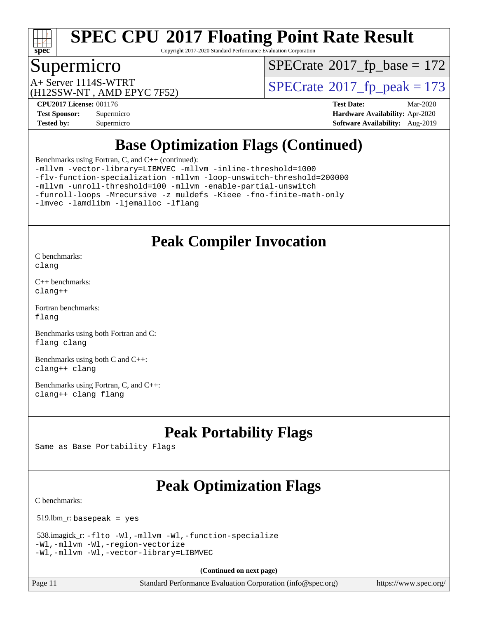

Copyright 2017-2020 Standard Performance Evaluation Corporation

## Supermicro

 $SPECTate$ <sup>®</sup>[2017\\_fp\\_base =](http://www.spec.org/auto/cpu2017/Docs/result-fields.html#SPECrate2017fpbase) 172

(H12SSW-NT , AMD EPYC 7F52)

A+ Server 1114S-WTRT  $\begin{array}{c|c}\n\text{A+ Server 1114S-WTRT} & \text{SPECrate} \n\hline\n\text{B+ Server 2017-fp_peak} & = 173\n\end{array}$  $\begin{array}{c|c}\n\text{A+ Server 1114S-WTRT} & \text{SPECrate} \n\hline\n\text{B+ Server 2017-fp_peak} & = 173\n\end{array}$  $\begin{array}{c|c}\n\text{A+ Server 1114S-WTRT} & \text{SPECrate} \n\hline\n\text{B+ Server 2017-fp_peak} & = 173\n\end{array}$ 

**[Tested by:](http://www.spec.org/auto/cpu2017/Docs/result-fields.html#Testedby)** Supermicro **[Software Availability:](http://www.spec.org/auto/cpu2017/Docs/result-fields.html#SoftwareAvailability)** Aug-2019

**[CPU2017 License:](http://www.spec.org/auto/cpu2017/Docs/result-fields.html#CPU2017License)** 001176 **[Test Date:](http://www.spec.org/auto/cpu2017/Docs/result-fields.html#TestDate)** Mar-2020 **[Test Sponsor:](http://www.spec.org/auto/cpu2017/Docs/result-fields.html#TestSponsor)** Supermicro **[Hardware Availability:](http://www.spec.org/auto/cpu2017/Docs/result-fields.html#HardwareAvailability)** Apr-2020

# **[Base Optimization Flags \(Continued\)](http://www.spec.org/auto/cpu2017/Docs/result-fields.html#BaseOptimizationFlags)**

[Benchmarks using Fortran, C, and C++](http://www.spec.org/auto/cpu2017/Docs/result-fields.html#BenchmarksusingFortranCandCXX) (continued):

[-mllvm -vector-library=LIBMVEC](http://www.spec.org/cpu2017/results/res2020q2/cpu2017-20200331-21863.flags.html#user_CC_CXX_FCbase_F-use-vector-library_e584e20b4f7ec96aa109254b65d8e01d864f3d68580371b9d93ed7c338191d4cfce20c3c864632264effc6bbe4c7c38153d02096a342ee92501c4a53204a7871) [-mllvm -inline-threshold=1000](http://www.spec.org/cpu2017/results/res2020q2/cpu2017-20200331-21863.flags.html#user_CC_CXX_FCbase_dragonegg-llvm-inline-threshold_b7832241b0a6397e4ecdbaf0eb7defdc10f885c2a282fa3240fdc99844d543fda39cf8a4a9dccf68cf19b5438ac3b455264f478df15da0f4988afa40d8243bab)

[-flv-function-specialization](http://www.spec.org/cpu2017/results/res2020q2/cpu2017-20200331-21863.flags.html#user_CC_CXX_FCbase_F-flv-function-specialization) [-mllvm -loop-unswitch-threshold=200000](http://www.spec.org/cpu2017/results/res2020q2/cpu2017-20200331-21863.flags.html#user_CC_CXX_FCbase_F-loop-unswitch-threshold_f9a82ae3270e55b5fbf79d0d96ee93606b73edbbe527d20b18b7bff1a3a146ad50cfc7454c5297978340ae9213029016a7d16221274d672d3f7f42ed25274e1d)

[-mllvm -unroll-threshold=100](http://www.spec.org/cpu2017/results/res2020q2/cpu2017-20200331-21863.flags.html#user_CC_CXX_FCbase_F-unroll-threshold_2755d0c78138845d361fa1543e3a063fffa198df9b3edf0cfb856bbc88a81e1769b12ac7a550c5d35197be55360db1a3f95a8d1304df999456cabf5120c45168) [-mllvm -enable-partial-unswitch](http://www.spec.org/cpu2017/results/res2020q2/cpu2017-20200331-21863.flags.html#user_CC_CXX_FCbase_F-enable-partial-unswitch_6e1c33f981d77963b1eaf834973128a7f33ce3f8e27f54689656697a35e89dcc875281e0e6283d043e32f367dcb605ba0e307a92e830f7e326789fa6c61b35d3)

[-funroll-loops](http://www.spec.org/cpu2017/results/res2020q2/cpu2017-20200331-21863.flags.html#user_CC_CXX_FCbase_aocc-unroll-loops) [-Mrecursive](http://www.spec.org/cpu2017/results/res2020q2/cpu2017-20200331-21863.flags.html#user_CC_CXX_FCbase_F-mrecursive_20a145d63f12d5750a899e17d4450b5b8b40330a9bb4af13688ca650e6fb30857bbbe44fb35cdbb895df6e5b2769de0a0d7659f51ff17acfbef6febafec4023f) [-z muldefs](http://www.spec.org/cpu2017/results/res2020q2/cpu2017-20200331-21863.flags.html#user_CC_CXX_FCbase_aocc-muldefs) [-Kieee](http://www.spec.org/cpu2017/results/res2020q2/cpu2017-20200331-21863.flags.html#user_CC_CXX_FCbase_F-kieee) [-fno-finite-math-only](http://www.spec.org/cpu2017/results/res2020q2/cpu2017-20200331-21863.flags.html#user_CC_CXX_FCbase_aocc-fno-finite-math-only)

[-lmvec](http://www.spec.org/cpu2017/results/res2020q2/cpu2017-20200331-21863.flags.html#user_CC_CXX_FCbase_F-lmvec) [-lamdlibm](http://www.spec.org/cpu2017/results/res2020q2/cpu2017-20200331-21863.flags.html#user_CC_CXX_FCbase_F-lamdlibm) [-ljemalloc](http://www.spec.org/cpu2017/results/res2020q2/cpu2017-20200331-21863.flags.html#user_CC_CXX_FCbase_jemalloc-lib) [-lflang](http://www.spec.org/cpu2017/results/res2020q2/cpu2017-20200331-21863.flags.html#user_CC_CXX_FCbase_F-lflang)

## **[Peak Compiler Invocation](http://www.spec.org/auto/cpu2017/Docs/result-fields.html#PeakCompilerInvocation)**

[C benchmarks](http://www.spec.org/auto/cpu2017/Docs/result-fields.html#Cbenchmarks): [clang](http://www.spec.org/cpu2017/results/res2020q2/cpu2017-20200331-21863.flags.html#user_CCpeak_clang-c)

[C++ benchmarks:](http://www.spec.org/auto/cpu2017/Docs/result-fields.html#CXXbenchmarks) [clang++](http://www.spec.org/cpu2017/results/res2020q2/cpu2017-20200331-21863.flags.html#user_CXXpeak_clang-cpp)

[Fortran benchmarks](http://www.spec.org/auto/cpu2017/Docs/result-fields.html#Fortranbenchmarks): [flang](http://www.spec.org/cpu2017/results/res2020q2/cpu2017-20200331-21863.flags.html#user_FCpeak_flang)

[Benchmarks using both Fortran and C](http://www.spec.org/auto/cpu2017/Docs/result-fields.html#BenchmarksusingbothFortranandC): [flang](http://www.spec.org/cpu2017/results/res2020q2/cpu2017-20200331-21863.flags.html#user_CC_FCpeak_flang) [clang](http://www.spec.org/cpu2017/results/res2020q2/cpu2017-20200331-21863.flags.html#user_CC_FCpeak_clang-c)

[Benchmarks using both C and C++](http://www.spec.org/auto/cpu2017/Docs/result-fields.html#BenchmarksusingbothCandCXX): [clang++](http://www.spec.org/cpu2017/results/res2020q2/cpu2017-20200331-21863.flags.html#user_CC_CXXpeak_clang-cpp) [clang](http://www.spec.org/cpu2017/results/res2020q2/cpu2017-20200331-21863.flags.html#user_CC_CXXpeak_clang-c)

[Benchmarks using Fortran, C, and C++:](http://www.spec.org/auto/cpu2017/Docs/result-fields.html#BenchmarksusingFortranCandCXX) [clang++](http://www.spec.org/cpu2017/results/res2020q2/cpu2017-20200331-21863.flags.html#user_CC_CXX_FCpeak_clang-cpp) [clang](http://www.spec.org/cpu2017/results/res2020q2/cpu2017-20200331-21863.flags.html#user_CC_CXX_FCpeak_clang-c) [flang](http://www.spec.org/cpu2017/results/res2020q2/cpu2017-20200331-21863.flags.html#user_CC_CXX_FCpeak_flang)

# **[Peak Portability Flags](http://www.spec.org/auto/cpu2017/Docs/result-fields.html#PeakPortabilityFlags)**

Same as Base Portability Flags

# **[Peak Optimization Flags](http://www.spec.org/auto/cpu2017/Docs/result-fields.html#PeakOptimizationFlags)**

[C benchmarks](http://www.spec.org/auto/cpu2017/Docs/result-fields.html#Cbenchmarks):

519.lbm\_r: basepeak = yes

```
 538.imagick_r: -flto -Wl,-mllvm -Wl,-function-specialize
-Wl,-mllvm -Wl,-region-vectorize
-Wl,-mllvm -Wl,-vector-library=LIBMVEC
```
**(Continued on next page)**

Page 11 Standard Performance Evaluation Corporation [\(info@spec.org\)](mailto:info@spec.org) <https://www.spec.org/>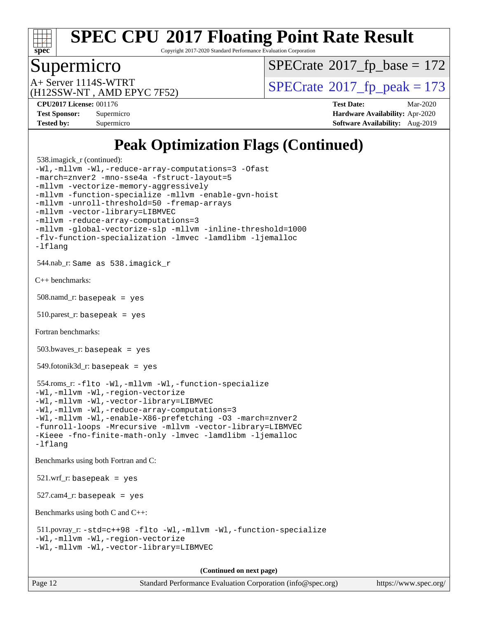

Copyright 2017-2020 Standard Performance Evaluation Corporation

### Supermicro

 $SPECTate$ <sup>®</sup>[2017\\_fp\\_base =](http://www.spec.org/auto/cpu2017/Docs/result-fields.html#SPECrate2017fpbase) 172

(H12SSW-NT , AMD EPYC 7F52)

A+ Server 1114S-WTRT  $\begin{array}{c|c}\n\text{A+ Server 1114S-WTRT} & \text{SPECrate} \n\hline\n\text{B+ Server 2017-fp_peak} & = 173\n\end{array}$  $\begin{array}{c|c}\n\text{A+ Server 1114S-WTRT} & \text{SPECrate} \n\hline\n\text{B+ Server 2017-fp_peak} & = 173\n\end{array}$  $\begin{array}{c|c}\n\text{A+ Server 1114S-WTRT} & \text{SPECrate} \n\hline\n\text{B+ Server 2017-fp_peak} & = 173\n\end{array}$ 

**[CPU2017 License:](http://www.spec.org/auto/cpu2017/Docs/result-fields.html#CPU2017License)** 001176 **[Test Date:](http://www.spec.org/auto/cpu2017/Docs/result-fields.html#TestDate)** Mar-2020 **[Test Sponsor:](http://www.spec.org/auto/cpu2017/Docs/result-fields.html#TestSponsor)** Supermicro **[Hardware Availability:](http://www.spec.org/auto/cpu2017/Docs/result-fields.html#HardwareAvailability)** Apr-2020 **[Tested by:](http://www.spec.org/auto/cpu2017/Docs/result-fields.html#Testedby)** Supermicro **[Software Availability:](http://www.spec.org/auto/cpu2017/Docs/result-fields.html#SoftwareAvailability)** Aug-2019

# **[Peak Optimization Flags \(Continued\)](http://www.spec.org/auto/cpu2017/Docs/result-fields.html#PeakOptimizationFlags)**

```
 538.imagick_r (continued):
-Wl,-mllvm -Wl,-reduce-array-computations=3 -Ofast
-march=znver2 -mno-sse4a -fstruct-layout=5
-mllvm -vectorize-memory-aggressively
-mllvm -function-specialize -mllvm -enable-gvn-hoist
-mllvm -unroll-threshold=50 -fremap-arrays
-mllvm -vector-library=LIBMVEC
-mllvm -reduce-array-computations=3
-mllvm -global-vectorize-slp -mllvm -inline-threshold=1000
-flv-function-specialization -lmvec -lamdlibm -ljemalloc
-lflang
 544.nab_r: Same as 538.imagick_r
C++ benchmarks: 
 508.namd_r: basepeak = yes
 510.parest_r: basepeak = yes
Fortran benchmarks: 
 503.bwaves_r: basepeak = yes
549.fotonik3d<sub>-</sub>r: basepeak = yes
 554.roms_r: -flto -Wl,-mllvm -Wl,-function-specialize
-Wl,-mllvm -Wl,-region-vectorize
-Wl,-mllvm -Wl,-vector-library=LIBMVEC
-Wl,-mllvm -Wl,-reduce-array-computations=3
-Wl,-mllvm -Wl,-enable-X86-prefetching -O3 -march=znver2
-funroll-loops -Mrecursive -mllvm -vector-library=LIBMVEC
-Kieee -fno-finite-math-only -lmvec -lamdlibm -ljemalloc
-lflang
Benchmarks using both Fortran and C: 
 521.wrf_r: basepeak = yes
527.cam4_r: basepeak = yes
Benchmarks using both C and C++: 
 511.povray_r: -std=c++98 -flto -Wl,-mllvm -Wl,-function-specialize
-Wl,-mllvm -Wl,-region-vectorize
-Wl,-mllvm -Wl,-vector-library=LIBMVEC
                                      (Continued on next page)
```